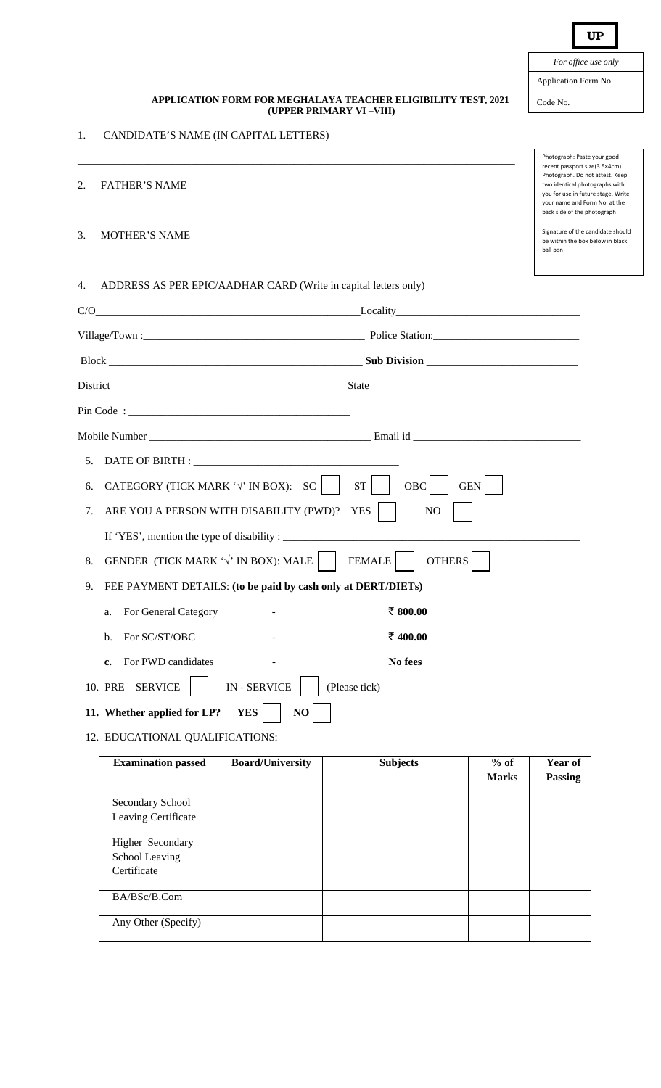|    |                                                                                          | For office use only                                                                                                                                                                                      |
|----|------------------------------------------------------------------------------------------|----------------------------------------------------------------------------------------------------------------------------------------------------------------------------------------------------------|
|    |                                                                                          | Application Form No.                                                                                                                                                                                     |
|    | APPLICATION FORM FOR MEGHALAYA TEACHER ELIGIBILITY TEST, 2021<br>(UPPER PRIMARY VI-VIII) | Code No.                                                                                                                                                                                                 |
| 1. | CANDIDATE'S NAME (IN CAPITAL LETTERS)                                                    |                                                                                                                                                                                                          |
|    |                                                                                          | Photograph: Paste your good                                                                                                                                                                              |
| 2. | <b>FATHER'S NAME</b>                                                                     | recent passport size(3.5×4cm)<br>Photograph. Do not attest. Keep<br>two identical photographs with<br>you for use in future stage. Write<br>your name and Form No. at the<br>back side of the photograph |
| 3. | <b>MOTHER'S NAME</b>                                                                     | Signature of the candidate should<br>be within the box below in black<br>ball pen                                                                                                                        |
| 4. | ADDRESS AS PER EPIC/AADHAR CARD (Write in capital letters only)                          |                                                                                                                                                                                                          |
|    |                                                                                          |                                                                                                                                                                                                          |
|    |                                                                                          |                                                                                                                                                                                                          |
|    |                                                                                          |                                                                                                                                                                                                          |
|    |                                                                                          |                                                                                                                                                                                                          |
|    |                                                                                          |                                                                                                                                                                                                          |
|    |                                                                                          |                                                                                                                                                                                                          |
|    |                                                                                          |                                                                                                                                                                                                          |
| 6. | CATEGORY (TICK MARK $\forall$ IN BOX): SC<br>OBC<br>ST<br>GEN                            |                                                                                                                                                                                                          |
| 7. | ARE YOU A PERSON WITH DISABILITY (PWD)?<br>N <sub>O</sub><br><b>YES</b>                  |                                                                                                                                                                                                          |
|    | If 'YES', mention the type of disability : _                                             |                                                                                                                                                                                                          |
| 8. | GENDER (TICK MARK $\forall$ IN BOX): MALE<br><b>OTHERS</b><br><b>FEMALE</b>              |                                                                                                                                                                                                          |
| 9. | FEE PAYMENT DETAILS: (to be paid by cash only at DERT/DIETs)                             |                                                                                                                                                                                                          |
|    | ₹ 800.00<br>For General Category<br>a.                                                   |                                                                                                                                                                                                          |
|    | For SC/ST/OBC<br>₹ 400.00<br>b.                                                          |                                                                                                                                                                                                          |
|    | For PWD candidates<br>No fees<br>c.                                                      |                                                                                                                                                                                                          |
|    | <b>IN-SERVICE</b><br>10. PRE - SERVICE<br>(Please tick)                                  |                                                                                                                                                                                                          |
|    | 11. Whether applied for LP?<br>NO<br><b>YES</b>                                          |                                                                                                                                                                                                          |

12. EDUCATIONAL QUALIFICATIONS:

 $2.$ 

 $3.$ 

| <b>Examination passed</b>                         | <b>Board/University</b> | <b>Subjects</b> | $%$ of<br><b>Marks</b> | Year of<br><b>Passing</b> |
|---------------------------------------------------|-------------------------|-----------------|------------------------|---------------------------|
| Secondary School<br>Leaving Certificate           |                         |                 |                        |                           |
| Higher Secondary<br>School Leaving<br>Certificate |                         |                 |                        |                           |
| BA/BSc/B.Com                                      |                         |                 |                        |                           |
| Any Other (Specify)                               |                         |                 |                        |                           |

**UP**